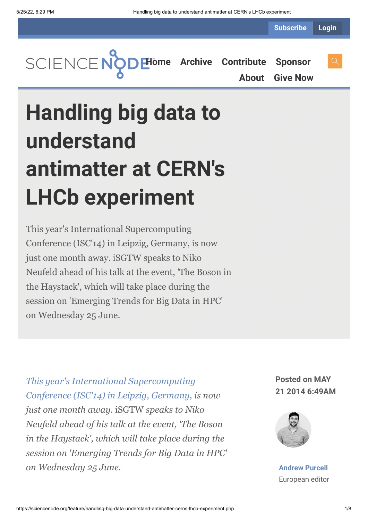**Subscribe Login**

**[Home](https://sciencenode.org/) [Archive](https://sciencenode.org/archive/index.php) [Contribute](https://sciencenode.org/contribute/index.php) [Sponsor](https://sciencenode.org/sponsor/index.php) [About](https://sciencenode.org/about/index.php) [Give Now](https://sciencenode.org/donate/index.php)**

# **Handling big data to understand antimatter at CERN's LHCb experiment**

This year's International Supercomputing Conference (ISC'14) in Leipzig, Germany, is now just one month away. iSGTW speaks to Niko Neufeld ahead of his talk at the event, 'The Boson in the Haystack', which will take place during the session on 'Emerging Trends for Big Data in HPC' on Wednesday 25 June.

*This year's International Supercomputing [Conference \(ISC'14\) in Leipzig, Germany, i](http://www.isc-events.com/ct.php?id=72)s now just one month away.* iSGTW *speaks to Niko Neufeld ahead of his talk at the event, 'The Boson in the Haystack', which will take place during the session on 'Emerging Trends for Big Data in HPC' on Wednesday 25 June.*

**Posted on MAY 21 2014 6:49AM**



**[Andrew Purcell](https://sciencenode.org/author/andrew-purcell.php)** European editor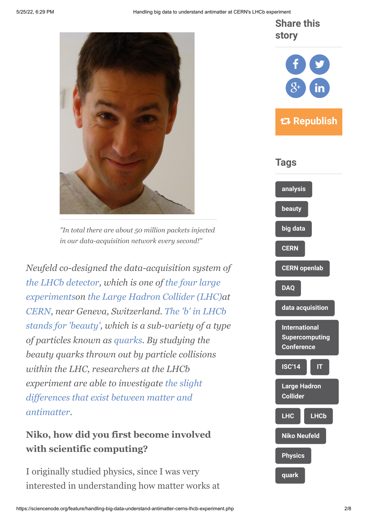**Share this story**









*"In total there are about 50 million packets injected in our data-acquisition network every second!"*

*Neufeld co-designed the data-acquisition system of [the LHCb detector](http://lhcb-public.web.cern.ch/lhcb-public/)[, which is one of](http://home.web.cern.ch/about/experiments) the four large experimentson [the Large Hadron Collider \(LHC\)](http://home.web.cern.ch/topics/large-hadron-collider)at [CERN](http://www.cern.ch/), near Geneva, Switzerland. The 'b' in LHCb [stands for 'beauty', which is a sub-variety of a typ](http://lhcb-public.web.cern.ch/lhcb-public/en/Physics/Beauty-en.html)e of particles known as [quarks.](http://en.wikipedia.org/wiki/Quark) By studying the beauty quarks thrown out by particle collisions within the LHC, researchers at the LHCb experiment are able to investigate the slight [differences that exist between matter and](http://lhcb-public.web.cern.ch/lhcb-public/en/Physics/Antimatter-en.html) antimatter.*

# **Niko, how did you first become involved with scientific computing?**

I originally studied physics, since I was very interested in understanding how matter works at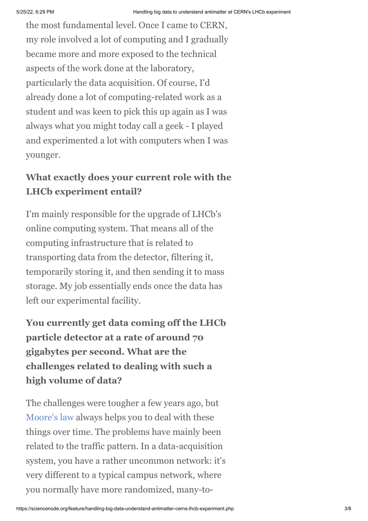the most fundamental level. Once I came to CERN, my role involved a lot of computing and I gradually became more and more exposed to the technical aspects of the work done at the laboratory, particularly the data acquisition. Of course, I'd already done a lot of computing-related work as a student and was keen to pick this up again as I was always what you might today call a geek - I played and experimented a lot with computers when I was younger.

## **What exactly does your current role with the LHCb experiment entail?**

I'm mainly responsible for the upgrade of LHCb's online computing system. That means all of the computing infrastructure that is related to transporting data from the detector, filtering it, temporarily storing it, and then sending it to mass storage. My job essentially ends once the data has left our experimental facility.

**You currently get data coming off the LHCb particle detector at a rate of around 70 gigabytes per second. What are the challenges related to dealing with such a high volume of data?**

The challenges were tougher a few years ago, but [Moore's law](http://en.wikipedia.org/wiki/Moore) always helps you to deal with these things over time. The problems have mainly been related to the traffic pattern. In a data-acquisition system, you have a rather uncommon network: it's very different to a typical campus network, where you normally have more randomized, many-to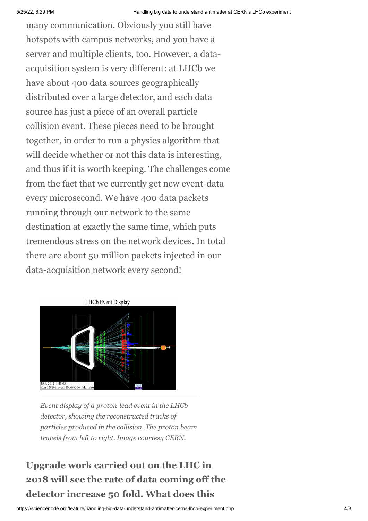many communication. Obviously you still have hotspots with campus networks, and you have a server and multiple clients, too. However, a dataacquisition system is very different: at LHCb we have about 400 data sources geographically distributed over a large detector, and each data source has just a piece of an overall particle collision event. These pieces need to be brought together, in order to run a physics algorithm that will decide whether or not this data is interesting, and thus if it is worth keeping. The challenges come from the fact that we currently get new event-data every microsecond. We have 400 data packets running through our network to the same destination at exactly the same time, which puts tremendous stress on the network devices. In total there are about 50 million packets injected in our data-acquisition network every second!



*Event display of a proton-lead event in the LHCb detector, showing the reconstructed tracks of particles produced in the collision. The proton beam travels from left to right. Image courtesy CERN.*

# **Upgrade work carried out on the LHC in 2018 will see the rate of data coming off the detector increase 50 fold. What does this**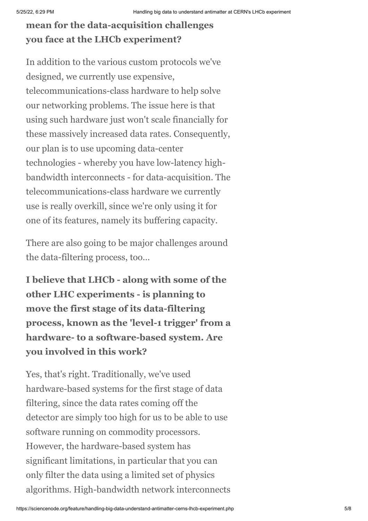# **mean for the data-acquisition challenges you face at the LHCb experiment?**

In addition to the various custom protocols we've designed, we currently use expensive, telecommunications-class hardware to help solve our networking problems. The issue here is that using such hardware just won't scale financially for these massively increased data rates. Consequently, our plan is to use upcoming data-center technologies - whereby you have low-latency highbandwidth interconnects - for data-acquisition. The telecommunications-class hardware we currently use is really overkill, since we're only using it for one of its features, namely its buffering capacity.

There are also going to be major challenges around the data-filtering process, too…

**I believe that LHCb - along with some of the other LHC experiments - is planning to move the first stage of its data-filtering process, known as the 'level-1 trigger' from a hardware- to a software-based system. Are you involved in this work?**

Yes, that's right. Traditionally, we've used hardware-based systems for the first stage of data filtering, since the data rates coming off the detector are simply too high for us to be able to use software running on commodity processors. However, the hardware-based system has significant limitations, in particular that you can only filter the data using a limited set of physics algorithms. High-bandwidth network interconnects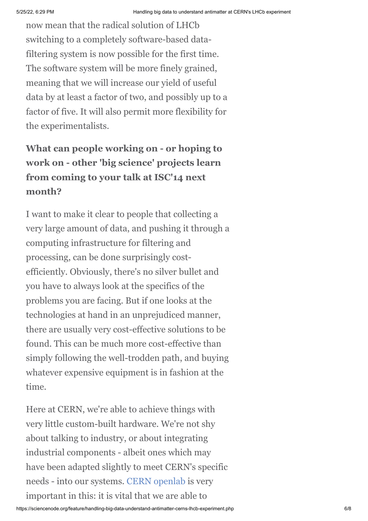now mean that the radical solution of LHCb switching to a completely software-based datafiltering system is now possible for the first time. The software system will be more finely grained, meaning that we will increase our yield of useful data by at least a factor of two, and possibly up to a factor of five. It will also permit more flexibility for the experimentalists.

# **What can people working on - or hoping to work on - other 'big science' projects learn from coming to your talk at ISC'14 next month?**

I want to make it clear to people that collecting a very large amount of data, and pushing it through a computing infrastructure for filtering and processing, can be done surprisingly costefficiently. Obviously, there's no silver bullet and you have to always look at the specifics of the problems you are facing. But if one looks at the technologies at hand in an unprejudiced manner, there are usually very cost-effective solutions to be found. This can be much more cost-effective than simply following the well-trodden path, and buying whatever expensive equipment is in fashion at the time.

Here at CERN, we're able to achieve things with very little custom-built hardware. We're not shy about talking to industry, or about integrating industrial components - albeit ones which may have been adapted slightly to meet CERN's specific needs - into our systems. [CERN openlab](http://openlab.web.cern.ch/) is very important in this: it is vital that we are able to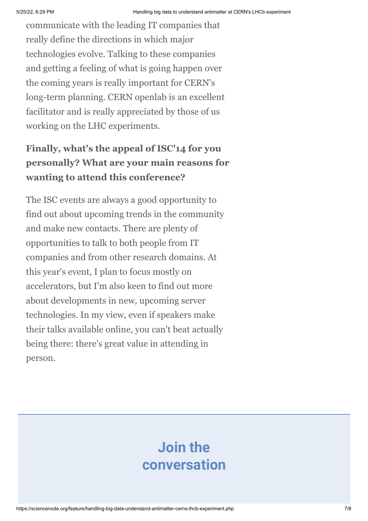communicate with the leading IT companies that really define the directions in which major technologies evolve. Talking to these companies and getting a feeling of what is going happen over the coming years is really important for CERN's long-term planning. CERN openlab is an excellent facilitator and is really appreciated by those of us working on the LHC experiments.

# **Finally, what's the appeal of ISC'14 for you personally? What are your main reasons for wanting to attend this conference?**

The ISC events are always a good opportunity to find out about upcoming trends in the community and make new contacts. There are plenty of opportunities to talk to both people from IT companies and from other research domains. At this year's event, I plan to focus mostly on accelerators, but I'm also keen to find out more about developments in new, upcoming server technologies. In my view, even if speakers make their talks available online, you can't beat actually being there: there's great value in attending in person.

# **Join the conversation**